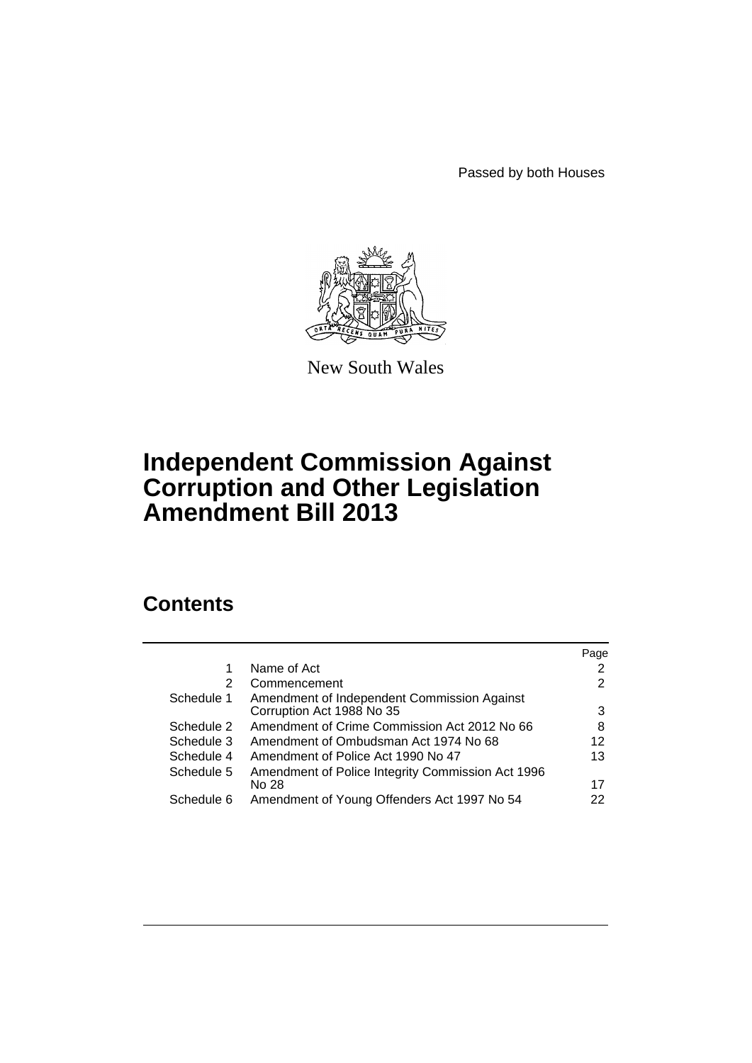Passed by both Houses



New South Wales

# **Independent Commission Against Corruption and Other Legislation Amendment Bill 2013**

# **Contents**

|            |                                                                          | Page |
|------------|--------------------------------------------------------------------------|------|
| 1          | Name of Act                                                              | 2    |
| 2          | Commencement                                                             | 2    |
| Schedule 1 | Amendment of Independent Commission Against<br>Corruption Act 1988 No 35 | 3    |
| Schedule 2 | Amendment of Crime Commission Act 2012 No 66                             | 8    |
| Schedule 3 | Amendment of Ombudsman Act 1974 No 68                                    | 12   |
| Schedule 4 | Amendment of Police Act 1990 No 47                                       | 13   |
| Schedule 5 | Amendment of Police Integrity Commission Act 1996                        |      |
|            | No 28                                                                    | 17   |
| Schedule 6 | Amendment of Young Offenders Act 1997 No 54                              | 22   |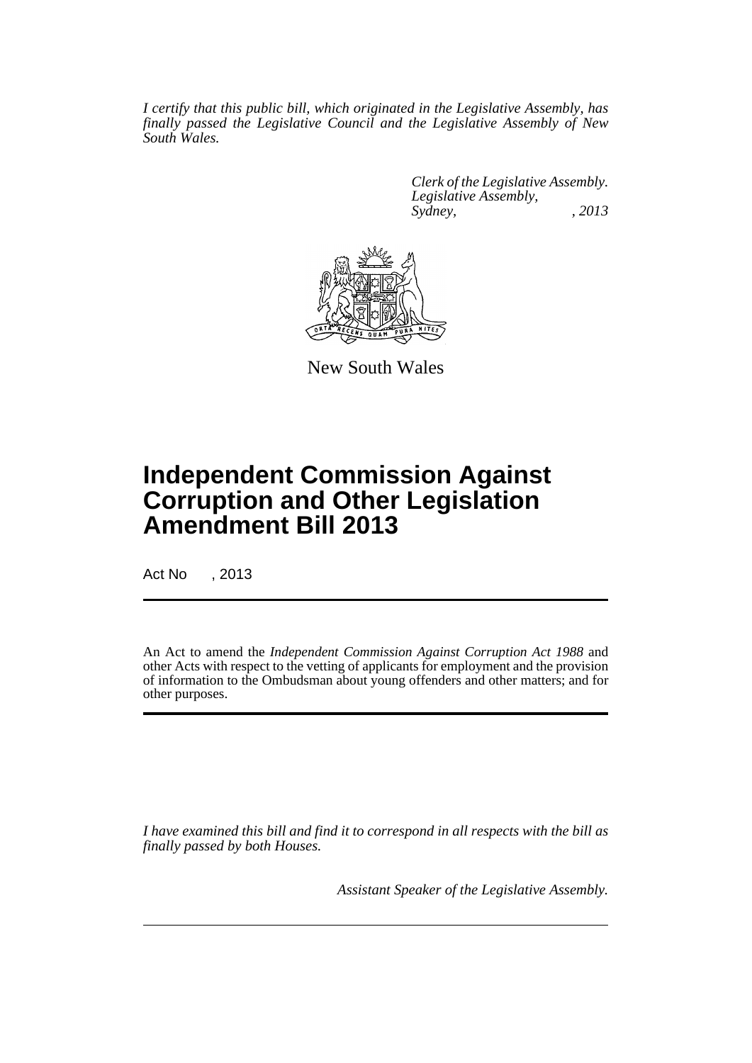*I certify that this public bill, which originated in the Legislative Assembly, has finally passed the Legislative Council and the Legislative Assembly of New South Wales.*

> *Clerk of the Legislative Assembly. Legislative Assembly, Sydney, , 2013*



New South Wales

# **Independent Commission Against Corruption and Other Legislation Amendment Bill 2013**

Act No , 2013

An Act to amend the *Independent Commission Against Corruption Act 1988* and other Acts with respect to the vetting of applicants for employment and the provision of information to the Ombudsman about young offenders and other matters; and for other purposes.

*I have examined this bill and find it to correspond in all respects with the bill as finally passed by both Houses.*

*Assistant Speaker of the Legislative Assembly.*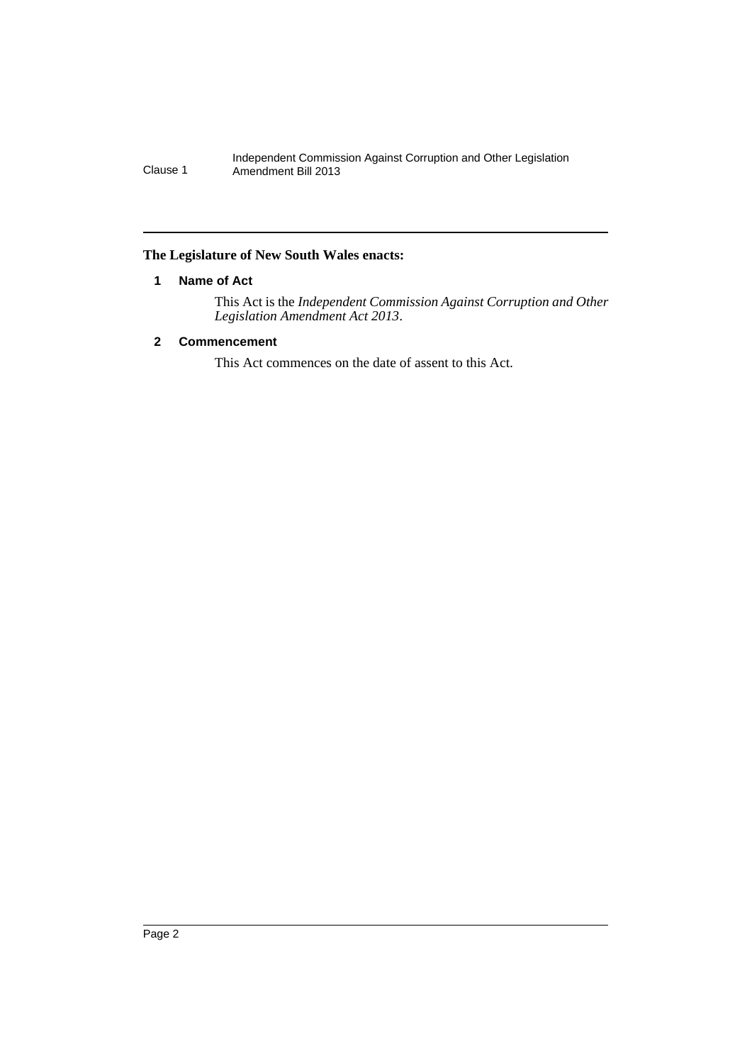# <span id="page-3-0"></span>**The Legislature of New South Wales enacts:**

## **1 Name of Act**

This Act is the *Independent Commission Against Corruption and Other Legislation Amendment Act 2013*.

# <span id="page-3-1"></span>**2 Commencement**

This Act commences on the date of assent to this Act.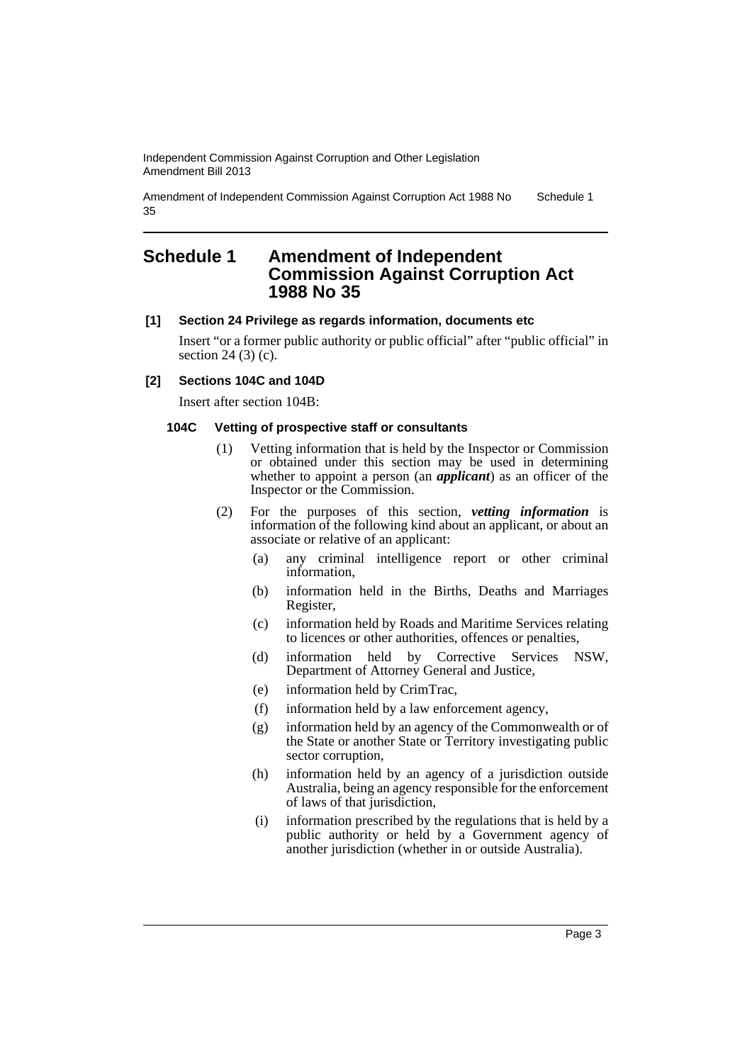Amendment of Independent Commission Against Corruption Act 1988 No 35 Schedule 1

# <span id="page-4-0"></span>**Schedule 1 Amendment of Independent Commission Against Corruption Act 1988 No 35**

#### **[1] Section 24 Privilege as regards information, documents etc**

Insert "or a former public authority or public official" after "public official" in section  $24(3)(c)$ .

# **[2] Sections 104C and 104D**

Insert after section 104B:

## **104C Vetting of prospective staff or consultants**

- (1) Vetting information that is held by the Inspector or Commission or obtained under this section may be used in determining whether to appoint a person (an *applicant*) as an officer of the Inspector or the Commission.
- (2) For the purposes of this section, *vetting information* is information of the following kind about an applicant, or about an associate or relative of an applicant:
	- (a) any criminal intelligence report or other criminal information,
	- (b) information held in the Births, Deaths and Marriages Register,
	- (c) information held by Roads and Maritime Services relating to licences or other authorities, offences or penalties,
	- (d) information held by Corrective Services NSW, Department of Attorney General and Justice,
	- (e) information held by CrimTrac,
	- (f) information held by a law enforcement agency,
	- (g) information held by an agency of the Commonwealth or of the State or another State or Territory investigating public sector corruption,
	- (h) information held by an agency of a jurisdiction outside Australia, being an agency responsible for the enforcement of laws of that jurisdiction,
	- (i) information prescribed by the regulations that is held by a public authority or held by a Government agency of another jurisdiction (whether in or outside Australia).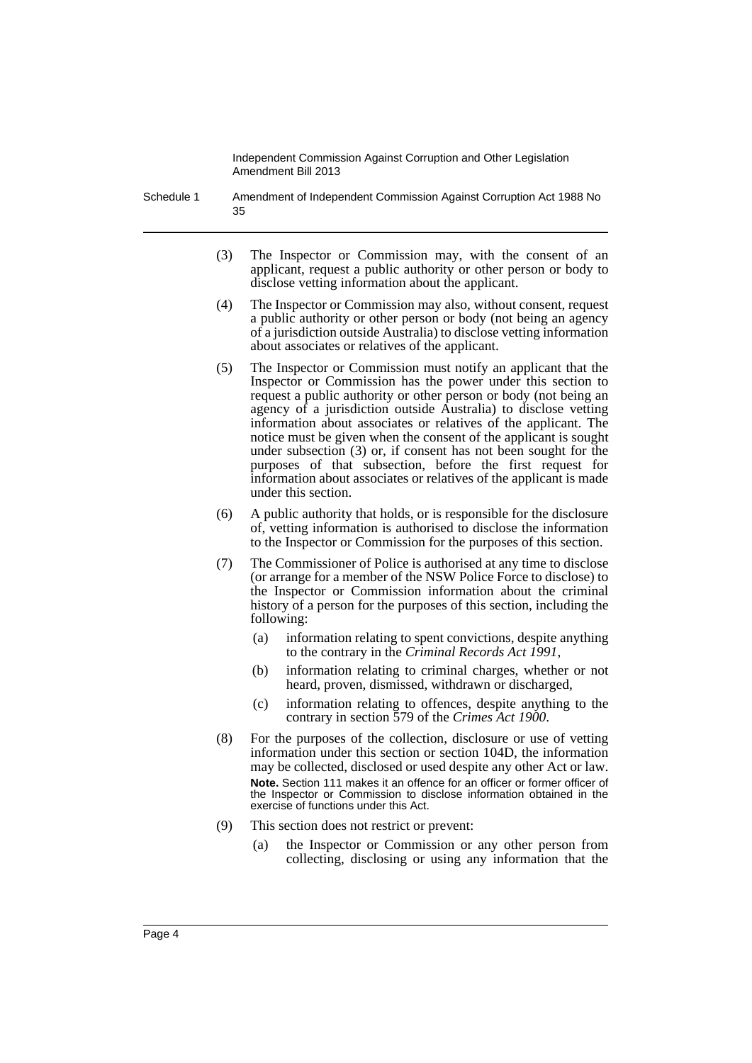Schedule 1 Amendment of Independent Commission Against Corruption Act 1988 No 35

- (3) The Inspector or Commission may, with the consent of an applicant, request a public authority or other person or body to disclose vetting information about the applicant.
- (4) The Inspector or Commission may also, without consent, request a public authority or other person or body (not being an agency of a jurisdiction outside Australia) to disclose vetting information about associates or relatives of the applicant.
- (5) The Inspector or Commission must notify an applicant that the Inspector or Commission has the power under this section to request a public authority or other person or body (not being an agency of a jurisdiction outside Australia) to disclose vetting information about associates or relatives of the applicant. The notice must be given when the consent of the applicant is sought under subsection (3) or, if consent has not been sought for the purposes of that subsection, before the first request for information about associates or relatives of the applicant is made under this section.
- (6) A public authority that holds, or is responsible for the disclosure of, vetting information is authorised to disclose the information to the Inspector or Commission for the purposes of this section.
- (7) The Commissioner of Police is authorised at any time to disclose (or arrange for a member of the NSW Police Force to disclose) to the Inspector or Commission information about the criminal history of a person for the purposes of this section, including the following:
	- (a) information relating to spent convictions, despite anything to the contrary in the *Criminal Records Act 1991*,
	- (b) information relating to criminal charges, whether or not heard, proven, dismissed, withdrawn or discharged,
	- (c) information relating to offences, despite anything to the contrary in section 579 of the *Crimes Act 1900*.
- (8) For the purposes of the collection, disclosure or use of vetting information under this section or section 104D, the information may be collected, disclosed or used despite any other Act or law. **Note.** Section 111 makes it an offence for an officer or former officer of the Inspector or Commission to disclose information obtained in the exercise of functions under this Act.
- (9) This section does not restrict or prevent:
	- (a) the Inspector or Commission or any other person from collecting, disclosing or using any information that the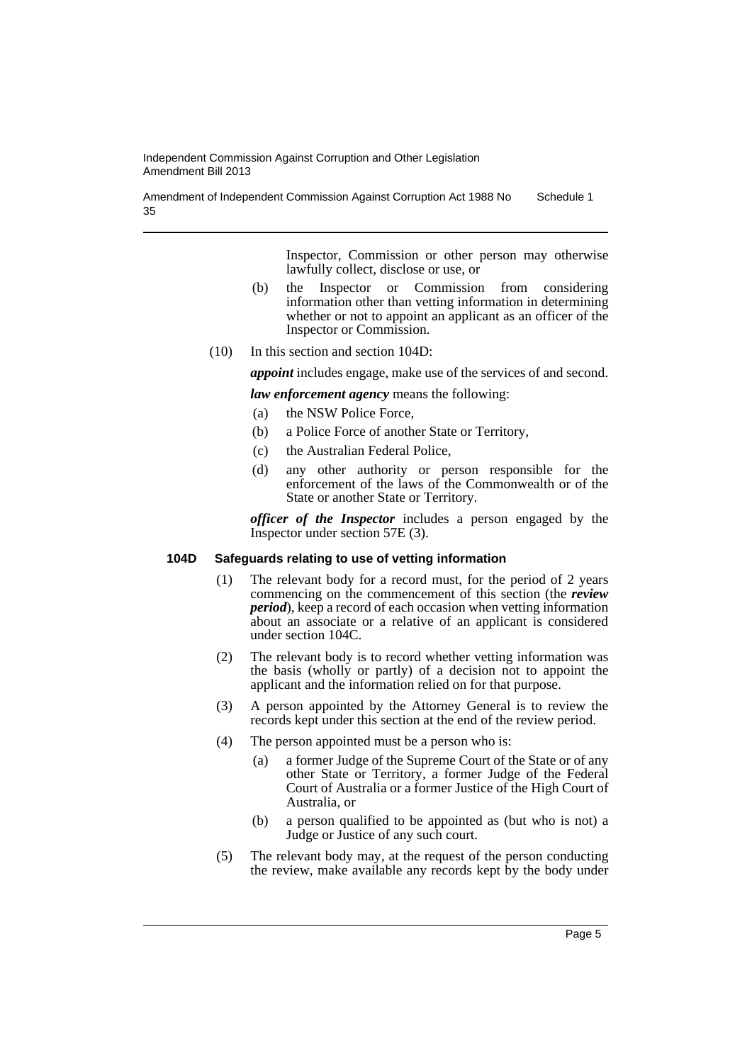Amendment of Independent Commission Against Corruption Act 1988 No 35 Schedule 1

> Inspector, Commission or other person may otherwise lawfully collect, disclose or use, or

- (b) the Inspector or Commission from considering information other than vetting information in determining whether or not to appoint an applicant as an officer of the Inspector or Commission.
- (10) In this section and section 104D:

*appoint* includes engage, make use of the services of and second.

*law enforcement agency* means the following:

- (a) the NSW Police Force,
- (b) a Police Force of another State or Territory,
- (c) the Australian Federal Police,
- (d) any other authority or person responsible for the enforcement of the laws of the Commonwealth or of the State or another State or Territory.

*officer of the Inspector* includes a person engaged by the Inspector under section 57E (3).

#### **104D Safeguards relating to use of vetting information**

- (1) The relevant body for a record must, for the period of 2 years commencing on the commencement of this section (the *review period*), keep a record of each occasion when vetting information about an associate or a relative of an applicant is considered under section 104C.
- (2) The relevant body is to record whether vetting information was the basis (wholly or partly) of a decision not to appoint the applicant and the information relied on for that purpose.
- (3) A person appointed by the Attorney General is to review the records kept under this section at the end of the review period.
- (4) The person appointed must be a person who is:
	- (a) a former Judge of the Supreme Court of the State or of any other State or Territory, a former Judge of the Federal Court of Australia or a former Justice of the High Court of Australia, or
	- (b) a person qualified to be appointed as (but who is not) a Judge or Justice of any such court.
- (5) The relevant body may, at the request of the person conducting the review, make available any records kept by the body under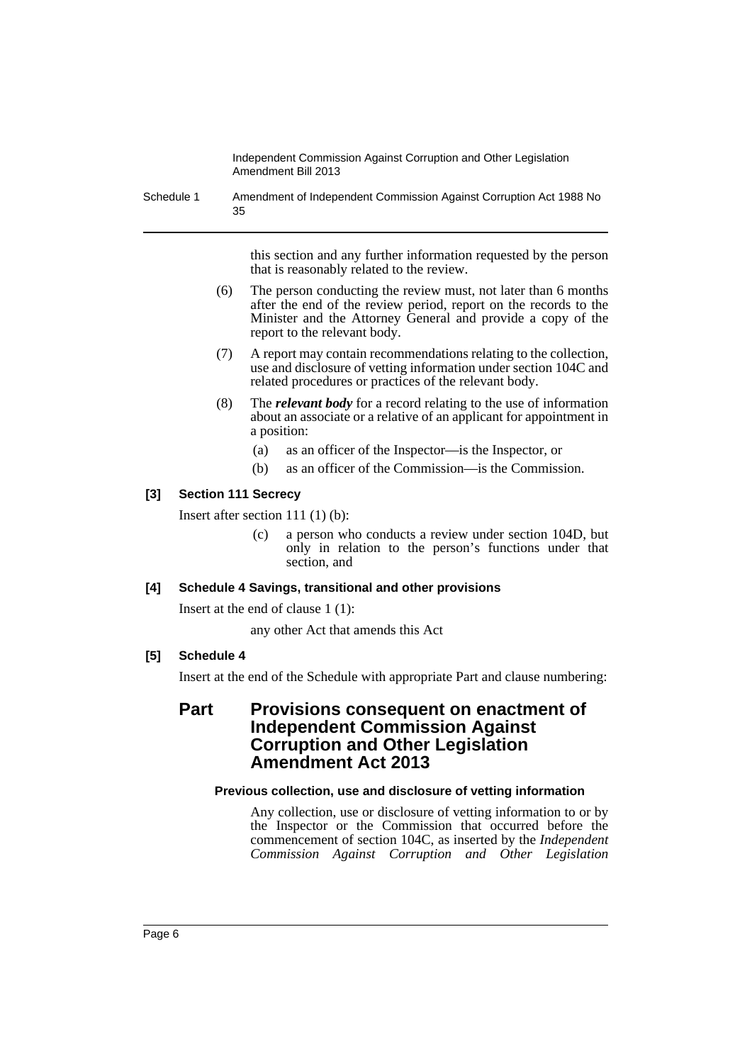Schedule 1 Amendment of Independent Commission Against Corruption Act 1988 No 35

> this section and any further information requested by the person that is reasonably related to the review.

- (6) The person conducting the review must, not later than 6 months after the end of the review period, report on the records to the Minister and the Attorney General and provide a copy of the report to the relevant body.
- (7) A report may contain recommendations relating to the collection, use and disclosure of vetting information under section 104C and related procedures or practices of the relevant body.
- (8) The *relevant body* for a record relating to the use of information about an associate or a relative of an applicant for appointment in a position:
	- (a) as an officer of the Inspector—is the Inspector, or
	- (b) as an officer of the Commission—is the Commission.

# **[3] Section 111 Secrecy**

Insert after section 111 (1) (b):

(c) a person who conducts a review under section 104D, but only in relation to the person's functions under that section, and

# **[4] Schedule 4 Savings, transitional and other provisions**

Insert at the end of clause 1 (1):

any other Act that amends this Act

# **[5] Schedule 4**

Insert at the end of the Schedule with appropriate Part and clause numbering:

# **Part Provisions consequent on enactment of Independent Commission Against Corruption and Other Legislation Amendment Act 2013**

# **Previous collection, use and disclosure of vetting information**

Any collection, use or disclosure of vetting information to or by the Inspector or the Commission that occurred before the commencement of section 104C, as inserted by the *Independent Commission Against Corruption and Other Legislation*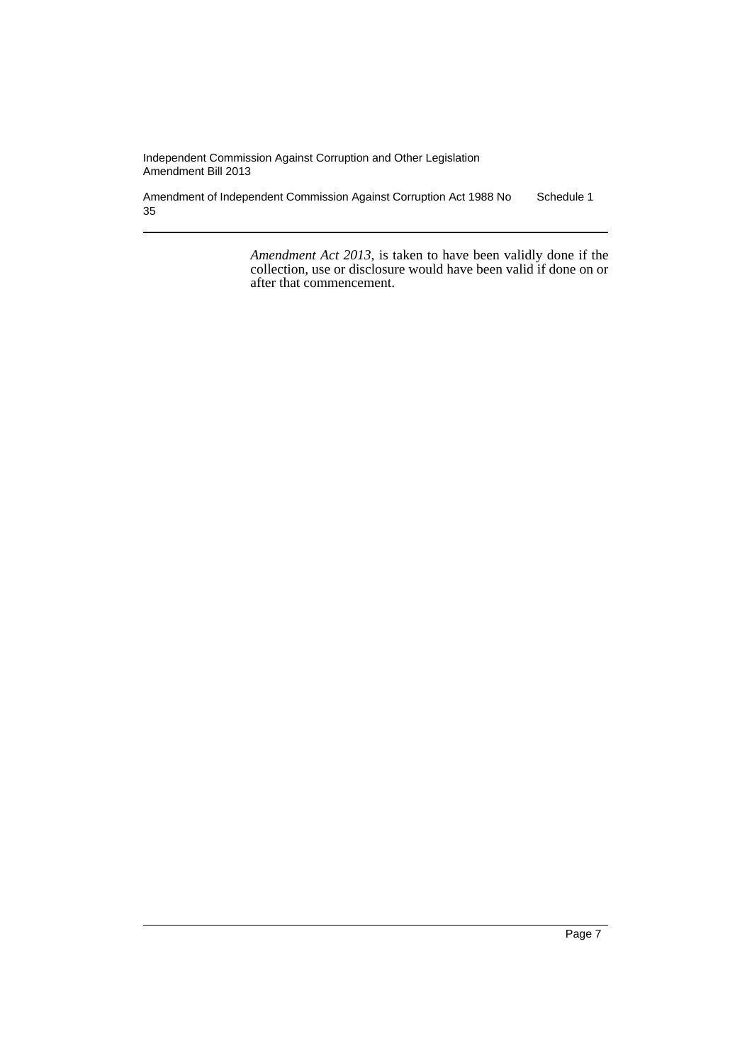Amendment of Independent Commission Against Corruption Act 1988 No 35 Schedule 1

> *Amendment Act 2013*, is taken to have been validly done if the collection, use or disclosure would have been valid if done on or after that commencement.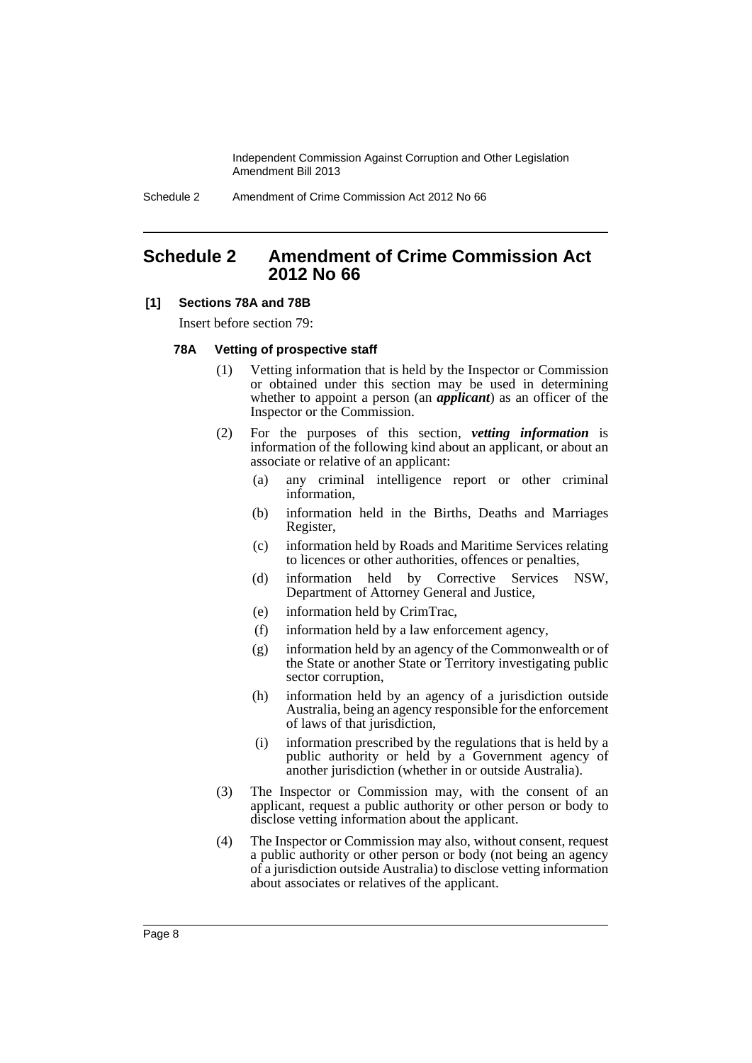Schedule 2 Amendment of Crime Commission Act 2012 No 66

# <span id="page-9-0"></span>**Schedule 2 Amendment of Crime Commission Act 2012 No 66**

#### **[1] Sections 78A and 78B**

Insert before section 79:

#### **78A Vetting of prospective staff**

- (1) Vetting information that is held by the Inspector or Commission or obtained under this section may be used in determining whether to appoint a person (an *applicant*) as an officer of the Inspector or the Commission.
- (2) For the purposes of this section, *vetting information* is information of the following kind about an applicant, or about an associate or relative of an applicant:
	- (a) any criminal intelligence report or other criminal information,
	- (b) information held in the Births, Deaths and Marriages Register,
	- (c) information held by Roads and Maritime Services relating to licences or other authorities, offences or penalties,
	- (d) information held by Corrective Services NSW, Department of Attorney General and Justice,
	- (e) information held by CrimTrac,
	- (f) information held by a law enforcement agency,
	- (g) information held by an agency of the Commonwealth or of the State or another State or Territory investigating public sector corruption,
	- (h) information held by an agency of a jurisdiction outside Australia, being an agency responsible for the enforcement of laws of that jurisdiction,
	- (i) information prescribed by the regulations that is held by a public authority or held by a Government agency of another jurisdiction (whether in or outside Australia).
- (3) The Inspector or Commission may, with the consent of an applicant, request a public authority or other person or body to disclose vetting information about the applicant.
- (4) The Inspector or Commission may also, without consent, request a public authority or other person or body (not being an agency of a jurisdiction outside Australia) to disclose vetting information about associates or relatives of the applicant.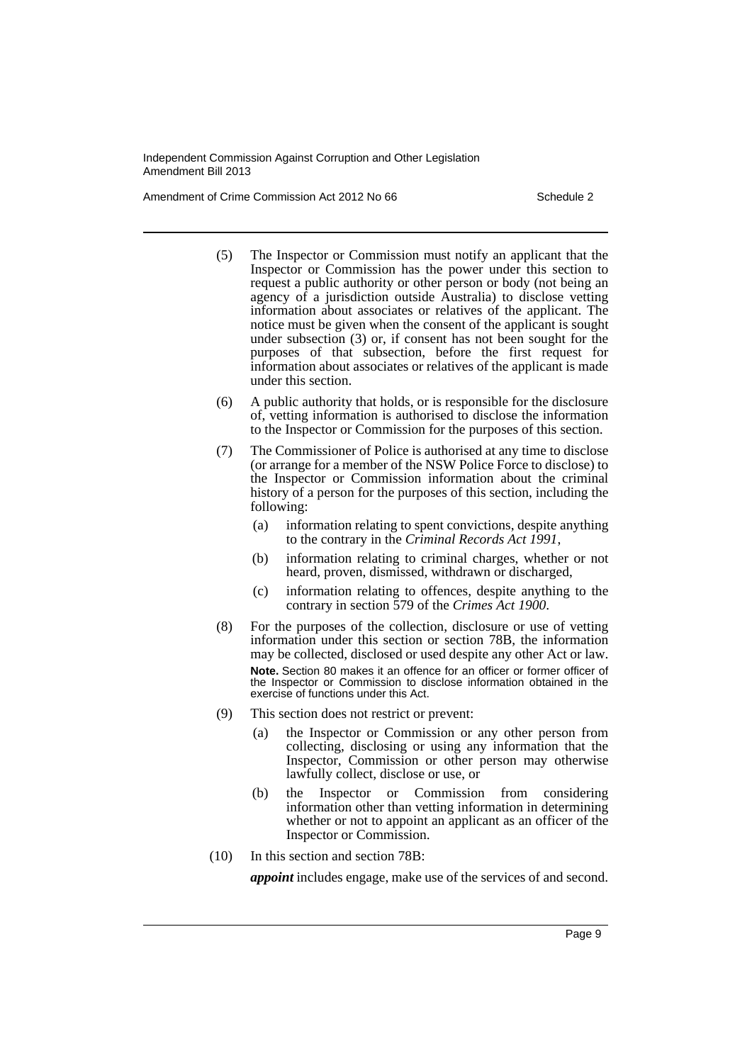Amendment of Crime Commission Act 2012 No 66 Schedule 2

- (5) The Inspector or Commission must notify an applicant that the Inspector or Commission has the power under this section to request a public authority or other person or body (not being an agency of a jurisdiction outside Australia) to disclose vetting information about associates or relatives of the applicant. The notice must be given when the consent of the applicant is sought under subsection (3) or, if consent has not been sought for the purposes of that subsection, before the first request for information about associates or relatives of the applicant is made under this section.
- (6) A public authority that holds, or is responsible for the disclosure of, vetting information is authorised to disclose the information to the Inspector or Commission for the purposes of this section.
- (7) The Commissioner of Police is authorised at any time to disclose (or arrange for a member of the NSW Police Force to disclose) to the Inspector or Commission information about the criminal history of a person for the purposes of this section, including the following:
	- (a) information relating to spent convictions, despite anything to the contrary in the *Criminal Records Act 1991*,
	- (b) information relating to criminal charges, whether or not heard, proven, dismissed, withdrawn or discharged,
	- (c) information relating to offences, despite anything to the contrary in section 579 of the *Crimes Act 1900*.
- (8) For the purposes of the collection, disclosure or use of vetting information under this section or section 78B, the information may be collected, disclosed or used despite any other Act or law. **Note.** Section 80 makes it an offence for an officer or former officer of the Inspector or Commission to disclose information obtained in the exercise of functions under this Act.
- (9) This section does not restrict or prevent:
	- (a) the Inspector or Commission or any other person from collecting, disclosing or using any information that the Inspector, Commission or other person may otherwise lawfully collect, disclose or use, or
	- (b) the Inspector or Commission from considering information other than vetting information in determining whether or not to appoint an applicant as an officer of the Inspector or Commission.
- (10) In this section and section 78B:

*appoint* includes engage, make use of the services of and second.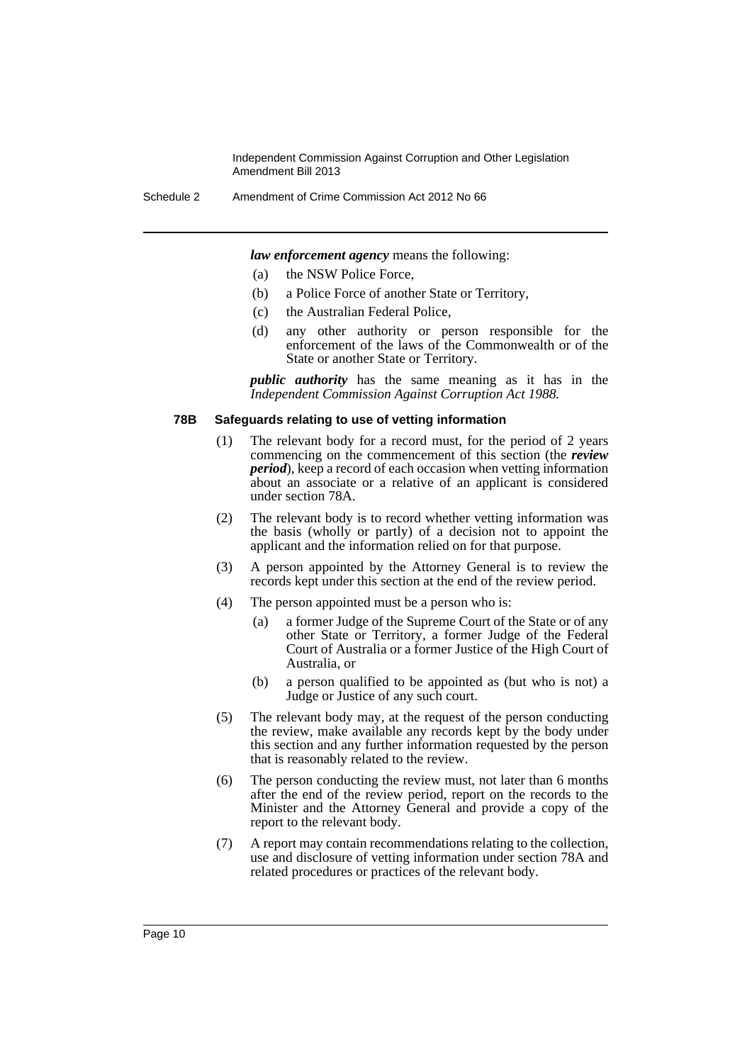Schedule 2 Amendment of Crime Commission Act 2012 No 66

*law enforcement agency* means the following:

- (a) the NSW Police Force,
- (b) a Police Force of another State or Territory,
- (c) the Australian Federal Police,
- (d) any other authority or person responsible for the enforcement of the laws of the Commonwealth or of the State or another State or Territory.

*public authority* has the same meaning as it has in the *Independent Commission Against Corruption Act 1988.*

#### **78B Safeguards relating to use of vetting information**

- (1) The relevant body for a record must, for the period of 2 years commencing on the commencement of this section (the *review period*), keep a record of each occasion when vetting information about an associate or a relative of an applicant is considered under section 78A.
- (2) The relevant body is to record whether vetting information was the basis (wholly or partly) of a decision not to appoint the applicant and the information relied on for that purpose.
- (3) A person appointed by the Attorney General is to review the records kept under this section at the end of the review period.
- (4) The person appointed must be a person who is:
	- (a) a former Judge of the Supreme Court of the State or of any other State or Territory, a former Judge of the Federal Court of Australia or a former Justice of the High Court of Australia, or
	- (b) a person qualified to be appointed as (but who is not) a Judge or Justice of any such court.
- (5) The relevant body may, at the request of the person conducting the review, make available any records kept by the body under this section and any further information requested by the person that is reasonably related to the review.
- (6) The person conducting the review must, not later than 6 months after the end of the review period, report on the records to the Minister and the Attorney General and provide a copy of the report to the relevant body.
- (7) A report may contain recommendations relating to the collection, use and disclosure of vetting information under section 78A and related procedures or practices of the relevant body.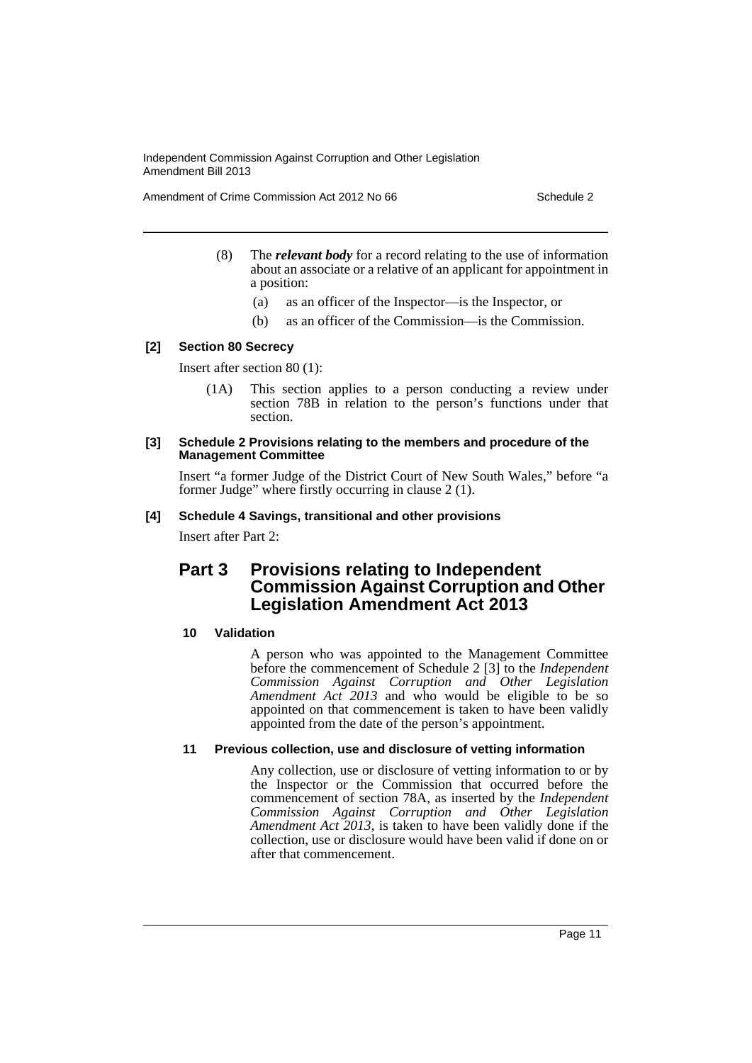Amendment of Crime Commission Act 2012 No 66 Schedule 2

- (8) The *relevant body* for a record relating to the use of information about an associate or a relative of an applicant for appointment in a position:
	- (a) as an officer of the Inspector—is the Inspector, or
	- (b) as an officer of the Commission—is the Commission.

#### **[2] Section 80 Secrecy**

Insert after section 80 (1):

(1A) This section applies to a person conducting a review under section 78B in relation to the person's functions under that section.

#### **[3] Schedule 2 Provisions relating to the members and procedure of the Management Committee**

Insert "a former Judge of the District Court of New South Wales," before "a former Judge" where firstly occurring in clause 2 (1).

#### **[4] Schedule 4 Savings, transitional and other provisions**

Insert after Part 2:

# **Part 3 Provisions relating to Independent Commission Against Corruption and Other Legislation Amendment Act 2013**

# **10 Validation**

A person who was appointed to the Management Committee before the commencement of Schedule 2 [3] to the *Independent Commission Against Corruption and Other Legislation Amendment Act 2013* and who would be eligible to be so appointed on that commencement is taken to have been validly appointed from the date of the person's appointment.

# **11 Previous collection, use and disclosure of vetting information**

Any collection, use or disclosure of vetting information to or by the Inspector or the Commission that occurred before the commencement of section 78A, as inserted by the *Independent Commission Against Corruption and Other Legislation Amendment Act 2013*, is taken to have been validly done if the collection, use or disclosure would have been valid if done on or after that commencement.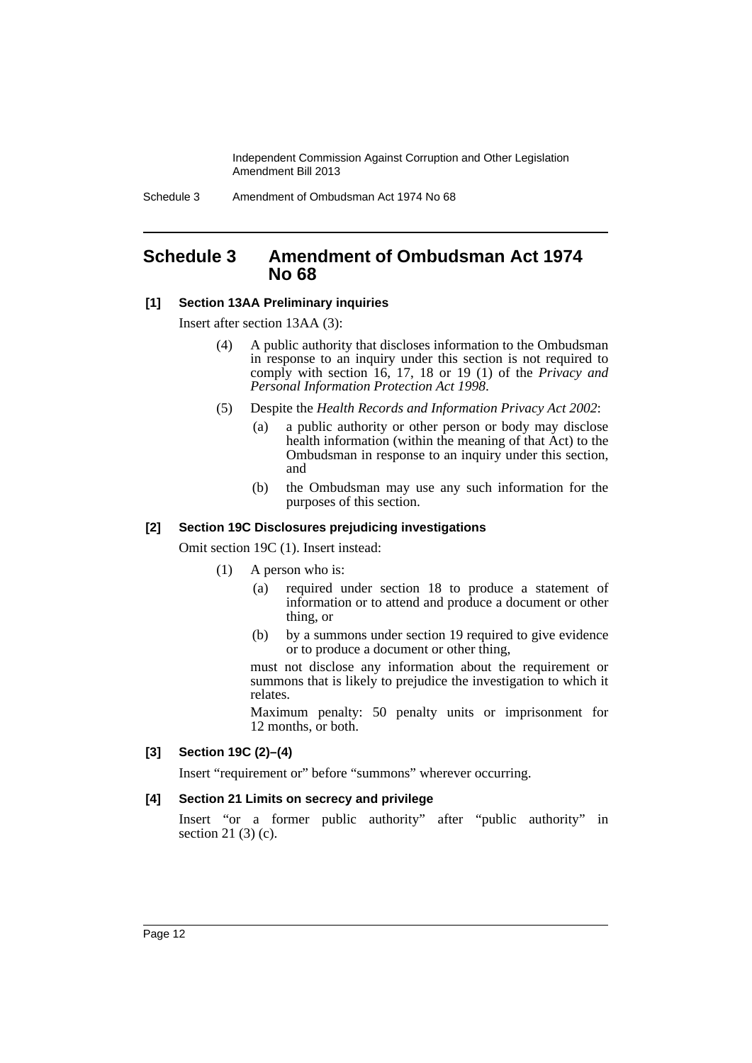Schedule 3 Amendment of Ombudsman Act 1974 No 68

# <span id="page-13-0"></span>**Schedule 3 Amendment of Ombudsman Act 1974 No 68**

# **[1] Section 13AA Preliminary inquiries**

Insert after section 13AA (3):

- (4) A public authority that discloses information to the Ombudsman in response to an inquiry under this section is not required to comply with section 16, 17, 18 or 19 (1) of the *Privacy and Personal Information Protection Act 1998*.
- (5) Despite the *Health Records and Information Privacy Act 2002*:
	- (a) a public authority or other person or body may disclose health information (within the meaning of that Act) to the Ombudsman in response to an inquiry under this section, and
	- (b) the Ombudsman may use any such information for the purposes of this section.

# **[2] Section 19C Disclosures prejudicing investigations**

Omit section 19C (1). Insert instead:

(1) A person who is:

- (a) required under section 18 to produce a statement of information or to attend and produce a document or other thing, or
- (b) by a summons under section 19 required to give evidence or to produce a document or other thing,

must not disclose any information about the requirement or summons that is likely to prejudice the investigation to which it relates.

Maximum penalty: 50 penalty units or imprisonment for 12 months, or both.

# **[3] Section 19C (2)–(4)**

Insert "requirement or" before "summons" wherever occurring.

#### **[4] Section 21 Limits on secrecy and privilege**

Insert "or a former public authority" after "public authority" in section 21 (3) (c).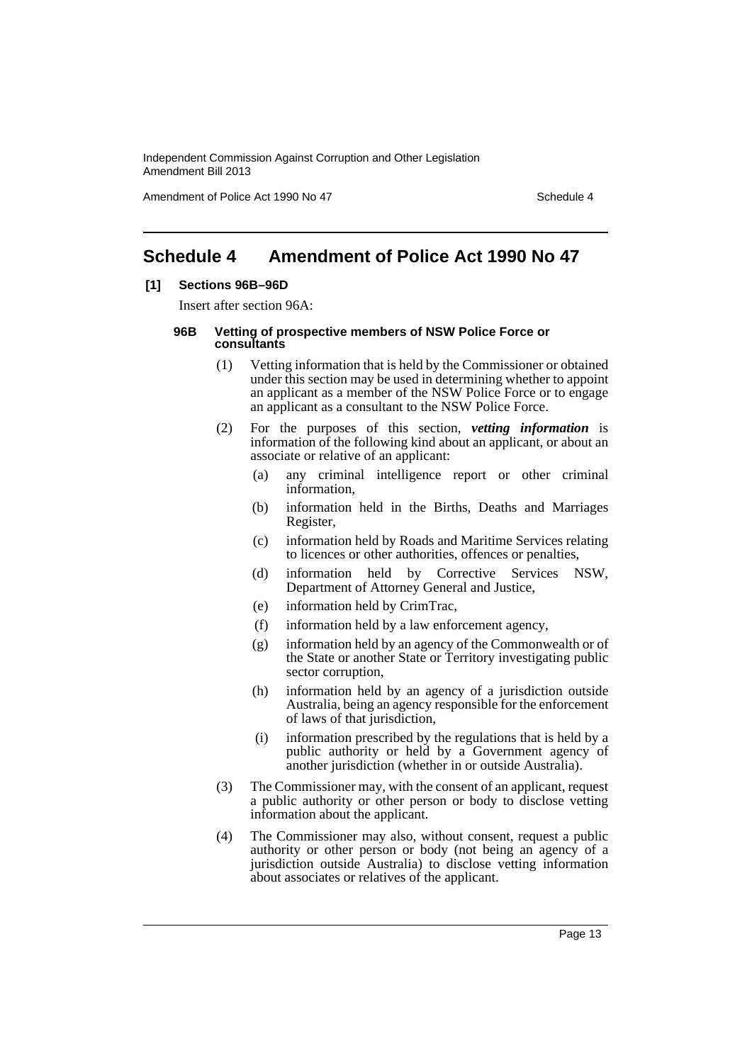Amendment of Police Act 1990 No 47 Schedule 4

# <span id="page-14-0"></span>**Schedule 4 Amendment of Police Act 1990 No 47**

#### **[1] Sections 96B–96D**

Insert after section 96A:

#### **96B Vetting of prospective members of NSW Police Force or consultants**

- (1) Vetting information that is held by the Commissioner or obtained under this section may be used in determining whether to appoint an applicant as a member of the NSW Police Force or to engage an applicant as a consultant to the NSW Police Force.
- (2) For the purposes of this section, *vetting information* is information of the following kind about an applicant, or about an associate or relative of an applicant:
	- (a) any criminal intelligence report or other criminal information,
	- (b) information held in the Births, Deaths and Marriages Register,
	- (c) information held by Roads and Maritime Services relating to licences or other authorities, offences or penalties,
	- (d) information held by Corrective Services NSW, Department of Attorney General and Justice,
	- (e) information held by CrimTrac,
	- (f) information held by a law enforcement agency,
	- (g) information held by an agency of the Commonwealth or of the State or another State or Territory investigating public sector corruption,
	- (h) information held by an agency of a jurisdiction outside Australia, being an agency responsible for the enforcement of laws of that jurisdiction,
	- (i) information prescribed by the regulations that is held by a public authority or held by a Government agency of another jurisdiction (whether in or outside Australia).
- (3) The Commissioner may, with the consent of an applicant, request a public authority or other person or body to disclose vetting information about the applicant.
- (4) The Commissioner may also, without consent, request a public authority or other person or body (not being an agency of a jurisdiction outside Australia) to disclose vetting information about associates or relatives of the applicant.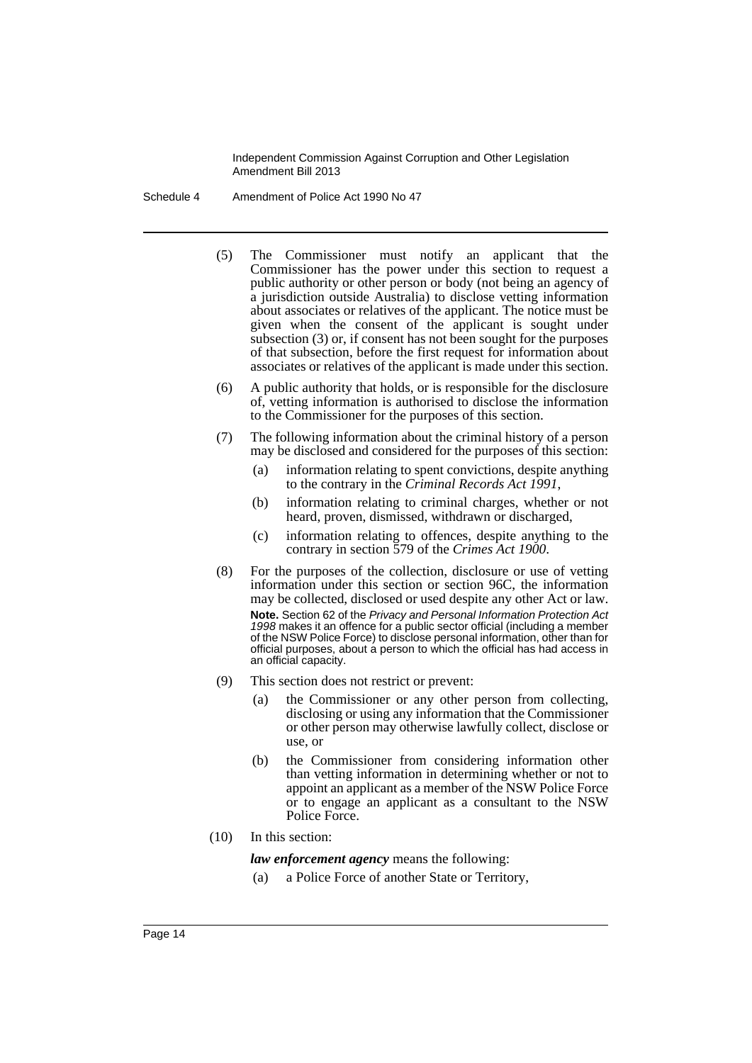Schedule 4 Amendment of Police Act 1990 No 47

- (5) The Commissioner must notify an applicant that the Commissioner has the power under this section to request a public authority or other person or body (not being an agency of a jurisdiction outside Australia) to disclose vetting information about associates or relatives of the applicant. The notice must be given when the consent of the applicant is sought under subsection (3) or, if consent has not been sought for the purposes of that subsection, before the first request for information about associates or relatives of the applicant is made under this section.
- (6) A public authority that holds, or is responsible for the disclosure of, vetting information is authorised to disclose the information to the Commissioner for the purposes of this section.
- (7) The following information about the criminal history of a person may be disclosed and considered for the purposes of this section:
	- (a) information relating to spent convictions, despite anything to the contrary in the *Criminal Records Act 1991*,
	- (b) information relating to criminal charges, whether or not heard, proven, dismissed, withdrawn or discharged,
	- (c) information relating to offences, despite anything to the contrary in section 579 of the *Crimes Act 1900*.
- (8) For the purposes of the collection, disclosure or use of vetting information under this section or section 96C, the information may be collected, disclosed or used despite any other Act or law. **Note.** Section 62 of the *Privacy and Personal Information Protection Act 1998* makes it an offence for a public sector official (including a member of the NSW Police Force) to disclose personal information, other than for official purposes, about a person to which the official has had access in an official capacity.
- (9) This section does not restrict or prevent:
	- (a) the Commissioner or any other person from collecting, disclosing or using any information that the Commissioner or other person may otherwise lawfully collect, disclose or use, or
	- (b) the Commissioner from considering information other than vetting information in determining whether or not to appoint an applicant as a member of the NSW Police Force or to engage an applicant as a consultant to the NSW Police Force.
- (10) In this section:

*law enforcement agency* means the following:

(a) a Police Force of another State or Territory,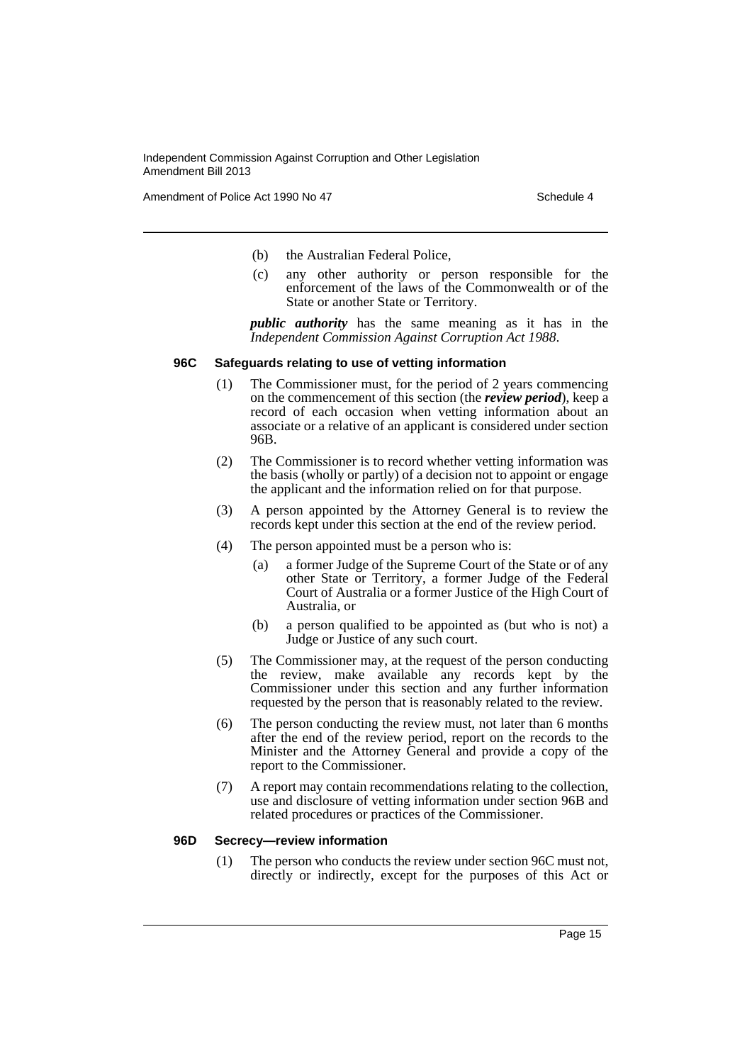Amendment of Police Act 1990 No 47 Schedule 4

- (b) the Australian Federal Police,
- (c) any other authority or person responsible for the enforcement of the laws of the Commonwealth or of the State or another State or Territory.

*public authority* has the same meaning as it has in the *Independent Commission Against Corruption Act 1988*.

#### **96C Safeguards relating to use of vetting information**

- (1) The Commissioner must, for the period of 2 years commencing on the commencement of this section (the *review period*), keep a record of each occasion when vetting information about an associate or a relative of an applicant is considered under section 96B.
- (2) The Commissioner is to record whether vetting information was the basis (wholly or partly) of a decision not to appoint or engage the applicant and the information relied on for that purpose.
- (3) A person appointed by the Attorney General is to review the records kept under this section at the end of the review period.
- (4) The person appointed must be a person who is:
	- (a) a former Judge of the Supreme Court of the State or of any other State or Territory, a former Judge of the Federal Court of Australia or a former Justice of the High Court of Australia, or
	- (b) a person qualified to be appointed as (but who is not) a Judge or Justice of any such court.
- (5) The Commissioner may, at the request of the person conducting the review, make available any records kept by the Commissioner under this section and any further information requested by the person that is reasonably related to the review.
- (6) The person conducting the review must, not later than 6 months after the end of the review period, report on the records to the Minister and the Attorney General and provide a copy of the report to the Commissioner.
- (7) A report may contain recommendations relating to the collection, use and disclosure of vetting information under section 96B and related procedures or practices of the Commissioner.

#### **96D Secrecy—review information**

(1) The person who conducts the review under section 96C must not, directly or indirectly, except for the purposes of this Act or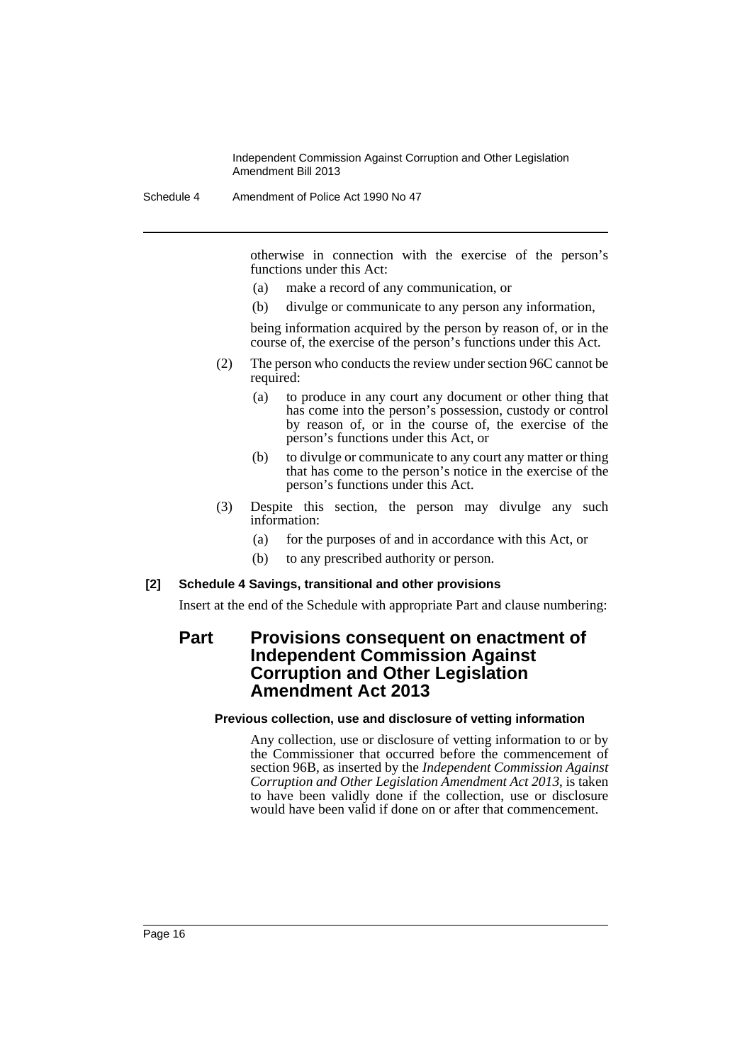Schedule 4 Amendment of Police Act 1990 No 47

otherwise in connection with the exercise of the person's functions under this Act:

- (a) make a record of any communication, or
- (b) divulge or communicate to any person any information,

being information acquired by the person by reason of, or in the course of, the exercise of the person's functions under this Act.

- (2) The person who conducts the review under section 96C cannot be required:
	- (a) to produce in any court any document or other thing that has come into the person's possession, custody or control by reason of, or in the course of, the exercise of the person's functions under this Act, or
	- (b) to divulge or communicate to any court any matter or thing that has come to the person's notice in the exercise of the person's functions under this Act.
- (3) Despite this section, the person may divulge any such information:
	- (a) for the purposes of and in accordance with this Act, or
	- (b) to any prescribed authority or person.

#### **[2] Schedule 4 Savings, transitional and other provisions**

Insert at the end of the Schedule with appropriate Part and clause numbering:

# **Part Provisions consequent on enactment of Independent Commission Against Corruption and Other Legislation Amendment Act 2013**

#### **Previous collection, use and disclosure of vetting information**

Any collection, use or disclosure of vetting information to or by the Commissioner that occurred before the commencement of section 96B, as inserted by the *Independent Commission Against Corruption and Other Legislation Amendment Act 2013*, is taken to have been validly done if the collection, use or disclosure would have been valid if done on or after that commencement.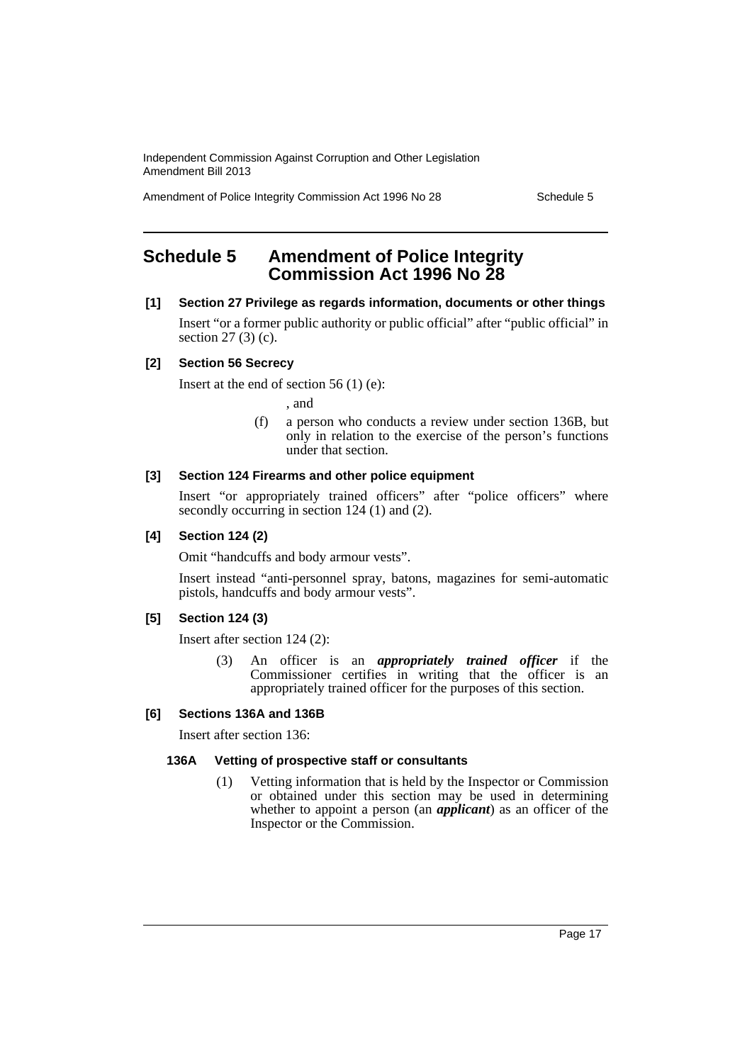Amendment of Police Integrity Commission Act 1996 No 28 Schedule 5

# <span id="page-18-0"></span>**Schedule 5 Amendment of Police Integrity Commission Act 1996 No 28**

#### **[1] Section 27 Privilege as regards information, documents or other things**

Insert "or a former public authority or public official" after "public official" in section 27 (3) (c).

#### **[2] Section 56 Secrecy**

Insert at the end of section 56  $(1)$  (e):

, and

(f) a person who conducts a review under section 136B, but only in relation to the exercise of the person's functions under that section.

## **[3] Section 124 Firearms and other police equipment**

Insert "or appropriately trained officers" after "police officers" where secondly occurring in section 124 (1) and (2).

## **[4] Section 124 (2)**

Omit "handcuffs and body armour vests".

Insert instead "anti-personnel spray, batons, magazines for semi-automatic pistols, handcuffs and body armour vests".

#### **[5] Section 124 (3)**

Insert after section 124 (2):

(3) An officer is an *appropriately trained officer* if the Commissioner certifies in writing that the officer is an appropriately trained officer for the purposes of this section.

#### **[6] Sections 136A and 136B**

Insert after section 136:

#### **136A Vetting of prospective staff or consultants**

(1) Vetting information that is held by the Inspector or Commission or obtained under this section may be used in determining whether to appoint a person (an *applicant*) as an officer of the Inspector or the Commission.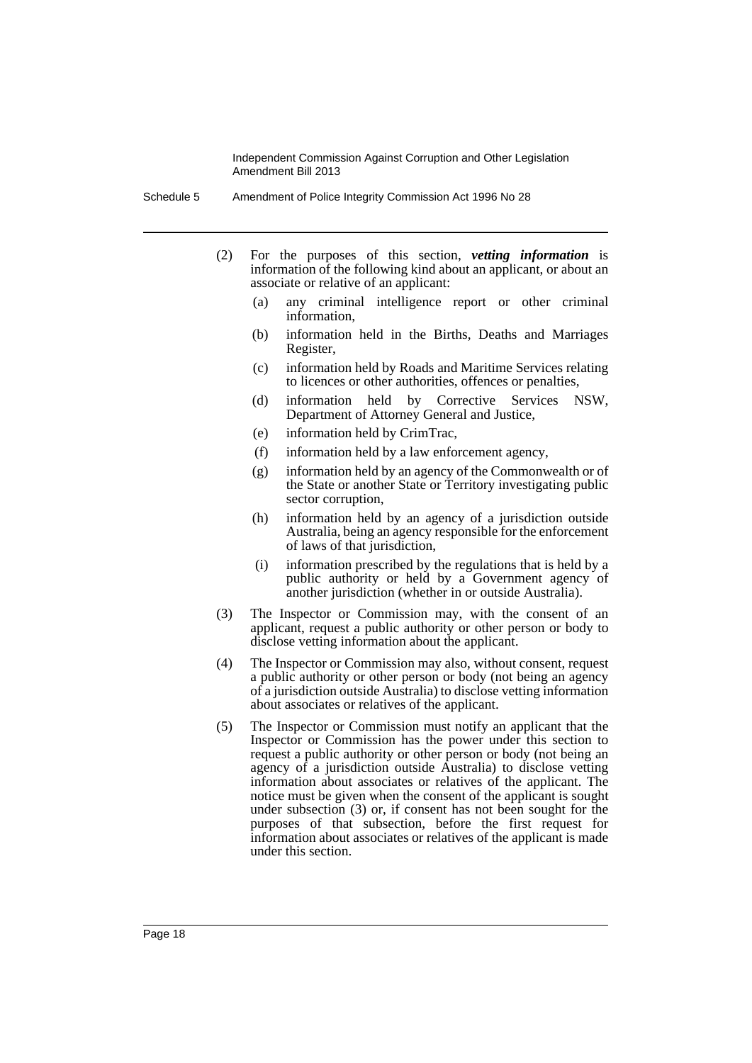- Schedule 5 Amendment of Police Integrity Commission Act 1996 No 28
	- (2) For the purposes of this section, *vetting information* is information of the following kind about an applicant, or about an associate or relative of an applicant:
		- (a) any criminal intelligence report or other criminal information,
		- (b) information held in the Births, Deaths and Marriages Register,
		- (c) information held by Roads and Maritime Services relating to licences or other authorities, offences or penalties,
		- (d) information held by Corrective Services NSW, Department of Attorney General and Justice,
		- (e) information held by CrimTrac,
		- (f) information held by a law enforcement agency,
		- (g) information held by an agency of the Commonwealth or of the State or another State or Territory investigating public sector corruption,
		- (h) information held by an agency of a jurisdiction outside Australia, being an agency responsible for the enforcement of laws of that jurisdiction,
		- (i) information prescribed by the regulations that is held by a public authority or held by a Government agency of another jurisdiction (whether in or outside Australia).
	- (3) The Inspector or Commission may, with the consent of an applicant, request a public authority or other person or body to disclose vetting information about the applicant.
	- (4) The Inspector or Commission may also, without consent, request a public authority or other person or body (not being an agency of a jurisdiction outside Australia) to disclose vetting information about associates or relatives of the applicant.
	- (5) The Inspector or Commission must notify an applicant that the Inspector or Commission has the power under this section to request a public authority or other person or body (not being an agency of a jurisdiction outside Australia) to disclose vetting information about associates or relatives of the applicant. The notice must be given when the consent of the applicant is sought under subsection (3) or, if consent has not been sought for the purposes of that subsection, before the first request for information about associates or relatives of the applicant is made under this section.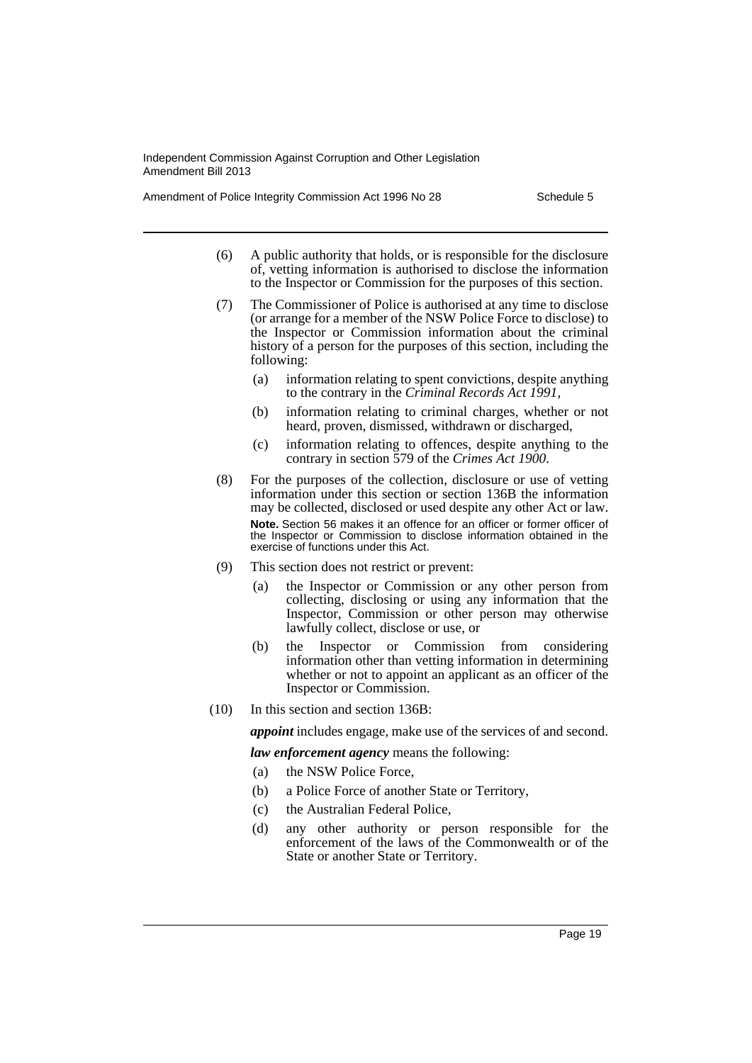Amendment of Police Integrity Commission Act 1996 No 28 Schedule 5

- (6) A public authority that holds, or is responsible for the disclosure of, vetting information is authorised to disclose the information to the Inspector or Commission for the purposes of this section.
- (7) The Commissioner of Police is authorised at any time to disclose (or arrange for a member of the NSW Police Force to disclose) to the Inspector or Commission information about the criminal history of a person for the purposes of this section, including the following:
	- (a) information relating to spent convictions, despite anything to the contrary in the *Criminal Records Act 1991*,
	- (b) information relating to criminal charges, whether or not heard, proven, dismissed, withdrawn or discharged,
	- (c) information relating to offences, despite anything to the contrary in section 579 of the *Crimes Act 1900*.
- (8) For the purposes of the collection, disclosure or use of vetting information under this section or section 136B the information may be collected, disclosed or used despite any other Act or law. **Note.** Section 56 makes it an offence for an officer or former officer of the Inspector or Commission to disclose information obtained in the exercise of functions under this Act.
- (9) This section does not restrict or prevent:
	- (a) the Inspector or Commission or any other person from collecting, disclosing or using any information that the Inspector, Commission or other person may otherwise lawfully collect, disclose or use, or
	- (b) the Inspector or Commission from considering information other than vetting information in determining whether or not to appoint an applicant as an officer of the Inspector or Commission.
- (10) In this section and section 136B:

*appoint* includes engage, make use of the services of and second.

*law enforcement agency* means the following:

- (a) the NSW Police Force,
- (b) a Police Force of another State or Territory,
- (c) the Australian Federal Police,
- (d) any other authority or person responsible for the enforcement of the laws of the Commonwealth or of the State or another State or Territory.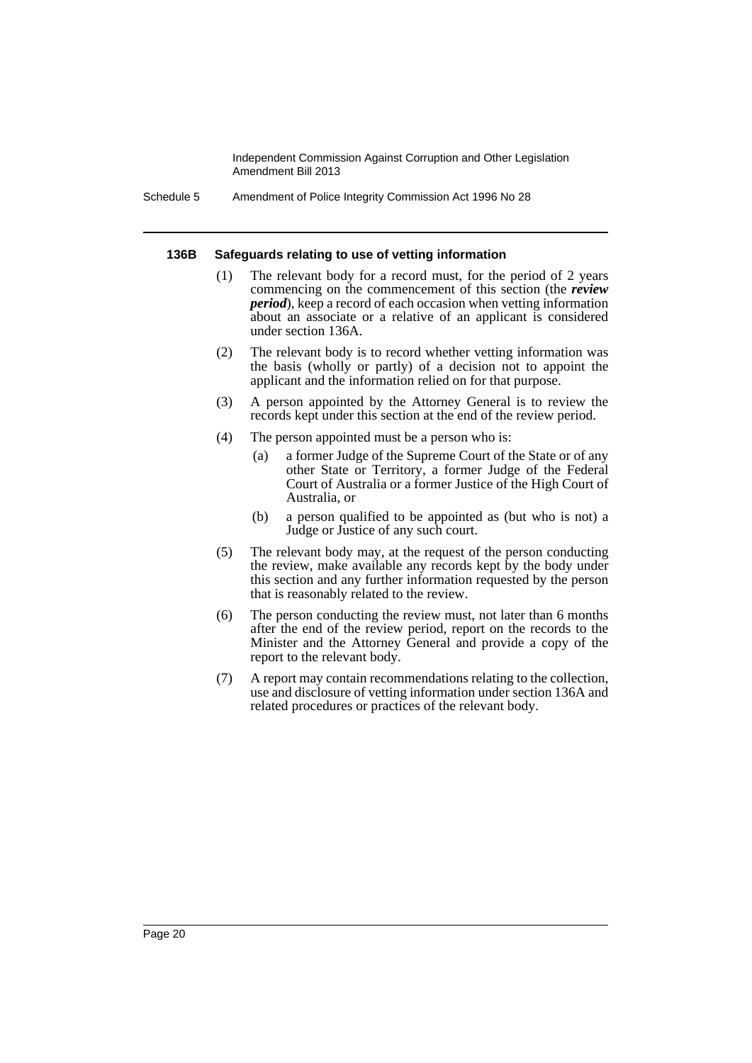Schedule 5 Amendment of Police Integrity Commission Act 1996 No 28

#### **136B Safeguards relating to use of vetting information**

- (1) The relevant body for a record must, for the period of 2 years commencing on the commencement of this section (the *review period*), keep a record of each occasion when vetting information about an associate or a relative of an applicant is considered under section 136A.
- (2) The relevant body is to record whether vetting information was the basis (wholly or partly) of a decision not to appoint the applicant and the information relied on for that purpose.
- (3) A person appointed by the Attorney General is to review the records kept under this section at the end of the review period.
- (4) The person appointed must be a person who is:
	- (a) a former Judge of the Supreme Court of the State or of any other State or Territory, a former Judge of the Federal Court of Australia or a former Justice of the High Court of Australia, or
	- (b) a person qualified to be appointed as (but who is not) a Judge or Justice of any such court.
- (5) The relevant body may, at the request of the person conducting the review, make available any records kept by the body under this section and any further information requested by the person that is reasonably related to the review.
- (6) The person conducting the review must, not later than 6 months after the end of the review period, report on the records to the Minister and the Attorney General and provide a copy of the report to the relevant body.
- (7) A report may contain recommendations relating to the collection, use and disclosure of vetting information under section 136A and related procedures or practices of the relevant body.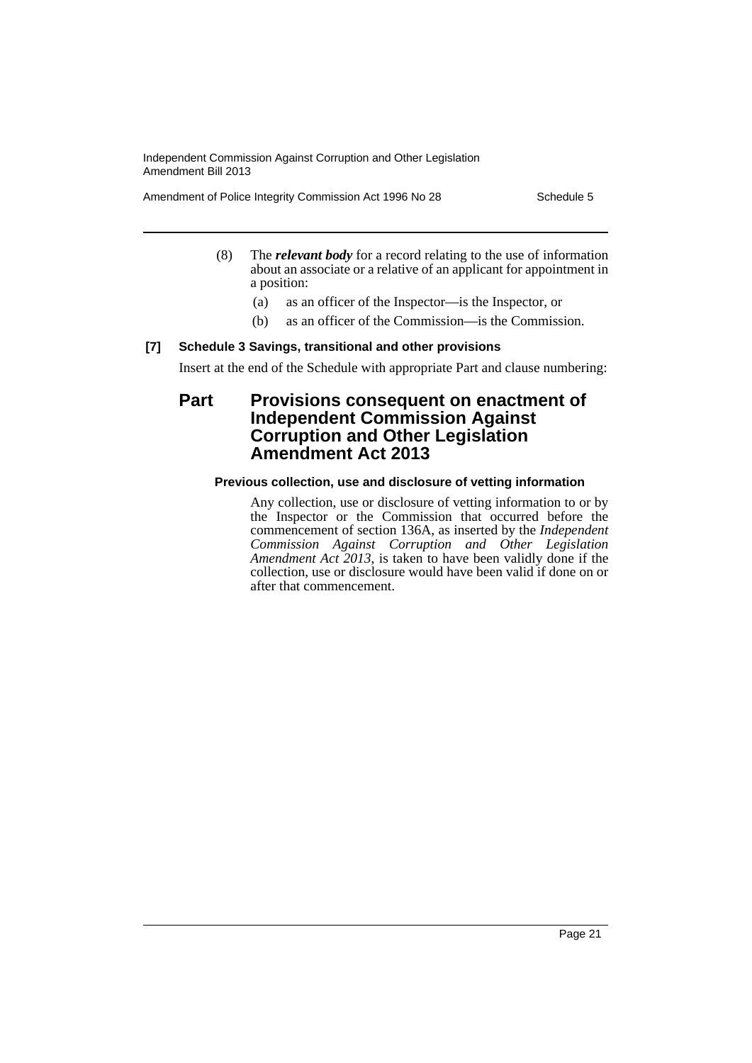Amendment of Police Integrity Commission Act 1996 No 28 Schedule 5

- (8) The *relevant body* for a record relating to the use of information about an associate or a relative of an applicant for appointment in a position:
	- (a) as an officer of the Inspector—is the Inspector, or
	- (b) as an officer of the Commission—is the Commission.

# **[7] Schedule 3 Savings, transitional and other provisions**

Insert at the end of the Schedule with appropriate Part and clause numbering:

**Part Provisions consequent on enactment of Independent Commission Against Corruption and Other Legislation Amendment Act 2013**

#### **Previous collection, use and disclosure of vetting information**

Any collection, use or disclosure of vetting information to or by the Inspector or the Commission that occurred before the commencement of section 136A, as inserted by the *Independent Commission Against Corruption and Other Legislation Amendment Act 2013*, is taken to have been validly done if the collection, use or disclosure would have been valid if done on or after that commencement.